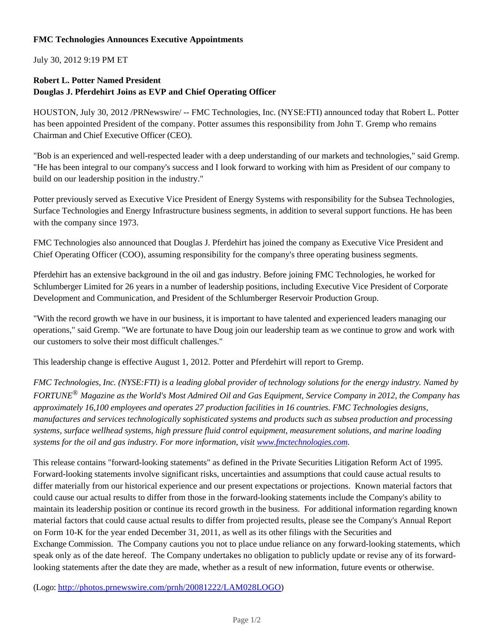## **FMC Technologies Announces Executive Appointments**

July 30, 2012 9:19 PM ET

## **Robert L. Potter Named President Douglas J. Pferdehirt Joins as EVP and Chief Operating Officer**

HOUSTON, July 30, 2012 /PRNewswire/ -- FMC Technologies, Inc. (NYSE:FTI) announced today that Robert L. Potter has been appointed President of the company. Potter assumes this responsibility from John T. Gremp who remains Chairman and Chief Executive Officer (CEO).

"Bob is an experienced and well-respected leader with a deep understanding of our markets and technologies," said Gremp. "He has been integral to our company's success and I look forward to working with him as President of our company to build on our leadership position in the industry."

Potter previously served as Executive Vice President of Energy Systems with responsibility for the Subsea Technologies, Surface Technologies and Energy Infrastructure business segments, in addition to several support functions. He has been with the company since 1973.

FMC Technologies also announced that Douglas J. Pferdehirt has joined the company as Executive Vice President and Chief Operating Officer (COO), assuming responsibility for the company's three operating business segments.

Pferdehirt has an extensive background in the oil and gas industry. Before joining FMC Technologies, he worked for Schlumberger Limited for 26 years in a number of leadership positions, including Executive Vice President of Corporate Development and Communication, and President of the Schlumberger Reservoir Production Group.

"With the record growth we have in our business, it is important to have talented and experienced leaders managing our operations," said Gremp. "We are fortunate to have Doug join our leadership team as we continue to grow and work with our customers to solve their most difficult challenges."

This leadership change is effective August 1, 2012. Potter and Pferdehirt will report to Gremp.

*FMC Technologies, Inc. (NYSE:FTI) is a leading global provider of technology solutions for the energy industry. Named by FORTUNE® Magazine as the World's Most Admired Oil and Gas Equipment, Service Company in 2012, the Company has approximately 16,100 employees and operates 27 production facilities in 16 countries. FMC Technologies designs, manufactures and services technologically sophisticated systems and products such as subsea production and processing systems, surface wellhead systems, high pressure fluid control equipment, measurement solutions, and marine loading systems for the oil and gas industry. For more information, visit www.fmctechnologies.com.*

This release contains "forward-looking statements" as defined in the Private Securities Litigation Reform Act of 1995. Forward-looking statements involve significant risks, uncertainties and assumptions that could cause actual results to differ materially from our historical experience and our present expectations or projections. Known material factors that could cause our actual results to differ from those in the forward-looking statements include the Company's ability to maintain its leadership position or continue its record growth in the business. For additional information regarding known material factors that could cause actual results to differ from projected results, please see the Company's Annual Report on Form 10-K for the year ended December 31, 2011, as well as its other filings with the Securities and Exchange Commission. The Company cautions you not to place undue reliance on any forward-looking statements, which speak only as of the date hereof. The Company undertakes no obligation to publicly update or revise any of its forwardlooking statements after the date they are made, whether as a result of new information, future events or otherwise.

(Logo: http://photos.prnewswire.com/prnh/20081222/LAM028LOGO)